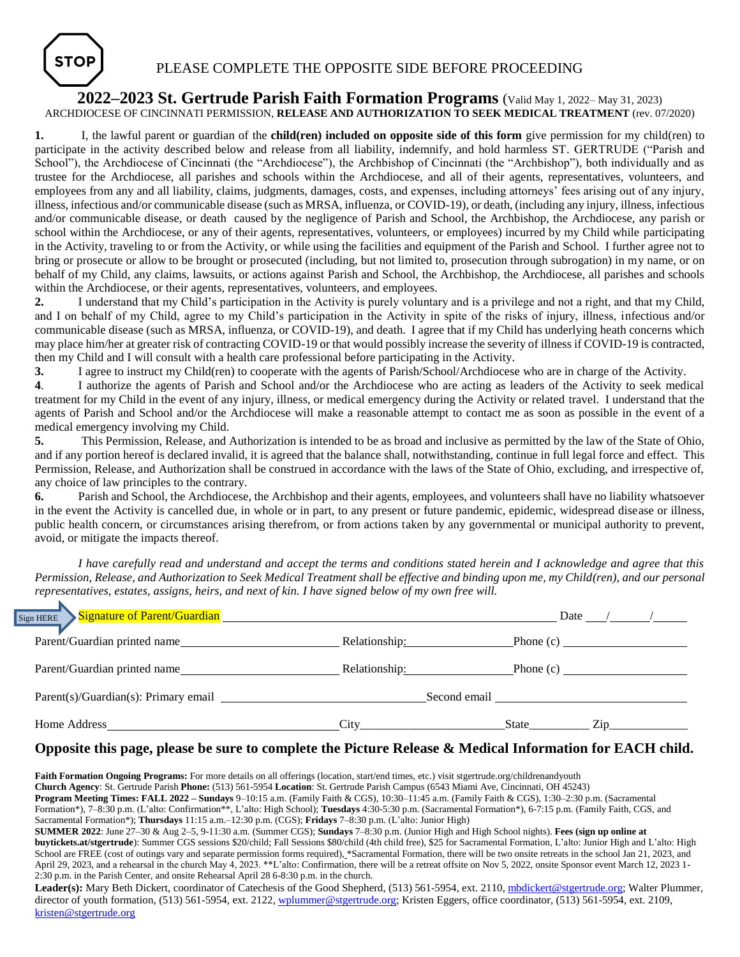

## **2022–2023 St. Gertrude Parish Faith Formation Programs** (Valid May 1, 2022– May 31, 2023) ARCHDIOCESE OF CINCINNATI PERMISSION, **RELEASE AND AUTHORIZATION TO SEEK MEDICAL TREATMENT** (rev. 07/2020)

**1.** I, the lawful parent or guardian of the **child(ren) included on opposite side of this form** give permission for my child(ren) to participate in the activity described below and release from all liability, indemnify, and hold harmless ST. GERTRUDE ("Parish and School"), the Archdiocese of Cincinnati (the "Archdiocese"), the Archbishop of Cincinnati (the "Archbishop"), both individually and as trustee for the Archdiocese, all parishes and schools within the Archdiocese, and all of their agents, representatives, volunteers, and employees from any and all liability, claims, judgments, damages, costs, and expenses, including attorneys' fees arising out of any injury, illness, infectious and/or communicable disease (such as MRSA, influenza, or COVID-19), or death, (including any injury, illness, infectious and/or communicable disease, or death caused by the negligence of Parish and School, the Archbishop, the Archdiocese, any parish or school within the Archdiocese, or any of their agents, representatives, volunteers, or employees) incurred by my Child while participating in the Activity, traveling to or from the Activity, or while using the facilities and equipment of the Parish and School. I further agree not to bring or prosecute or allow to be brought or prosecuted (including, but not limited to, prosecution through subrogation) in my name, or on behalf of my Child, any claims, lawsuits, or actions against Parish and School, the Archbishop, the Archdiocese, all parishes and schools within the Archdiocese, or their agents, representatives, volunteers, and employees.

**2.** I understand that my Child's participation in the Activity is purely voluntary and is a privilege and not a right, and that my Child, and I on behalf of my Child, agree to my Child's participation in the Activity in spite of the risks of injury, illness, infectious and/or communicable disease (such as MRSA, influenza, or COVID-19), and death. I agree that if my Child has underlying heath concerns which may place him/her at greater risk of contracting COVID-19 or that would possibly increase the severity of illness if COVID-19 is contracted, then my Child and I will consult with a health care professional before participating in the Activity.

**3.** I agree to instruct my Child(ren) to cooperate with the agents of Parish/School/Archdiocese who are in charge of the Activity.

**4**. I authorize the agents of Parish and School and/or the Archdiocese who are acting as leaders of the Activity to seek medical treatment for my Child in the event of any injury, illness, or medical emergency during the Activity or related travel. I understand that the agents of Parish and School and/or the Archdiocese will make a reasonable attempt to contact me as soon as possible in the event of a medical emergency involving my Child.

**5.** This Permission, Release, and Authorization is intended to be as broad and inclusive as permitted by the law of the State of Ohio, and if any portion hereof is declared invalid, it is agreed that the balance shall, notwithstanding, continue in full legal force and effect. This Permission, Release, and Authorization shall be construed in accordance with the laws of the State of Ohio, excluding, and irrespective of, any choice of law principles to the contrary.

**6.** Parish and School, the Archdiocese, the Archbishop and their agents, employees, and volunteers shall have no liability whatsoever in the event the Activity is cancelled due, in whole or in part, to any present or future pandemic, epidemic, widespread disease or illness, public health concern, or circumstances arising therefrom, or from actions taken by any governmental or municipal authority to prevent, avoid, or mitigate the impacts thereof.

*I have carefully read and understand and accept the terms and conditions stated herein and I acknowledge and agree that this Permission, Release, and Authorization to Seek Medical Treatment shall be effective and binding upon me, my Child(ren), and our personal representatives, estates, assigns, heirs, and next of kin. I have signed below of my own free will.*

| Signature of Parent/Guardian in the content of the Signature of Parent/Guardian<br>m HERE |                    | Date                                                                                                                                                                                                                           |
|-------------------------------------------------------------------------------------------|--------------------|--------------------------------------------------------------------------------------------------------------------------------------------------------------------------------------------------------------------------------|
| Parent/Guardian printed name                                                              | Relationship:      |                                                                                                                                                                                                                                |
| Parent/Guardian printed name                                                              | Relationship: 2000 |                                                                                                                                                                                                                                |
|                                                                                           |                    | Second email Seconds and Seconds and Seconds and Seconds and Seconds and Seconds and Seconds and Seconds and Seconds and Seconds and Seconds and Seconds and Seconds and Seconds and Seconds and Seconds and Seconds and Secon |
| Home Address                                                                              | City               | State<br>Zip                                                                                                                                                                                                                   |

 $\sqrt{\text{Si}_8}$ 

## **Opposite this page, please be sure to complete the Picture Release & Medical Information for EACH child.**

Faith Formation Ongoing Programs: For more details on all offerings (location, start/end times, etc.) visit stgertrude.org/childrenandyouth **Church Agency**: St. Gertrude Parish **Phone:** (513) 561-5954 **Location**: St. Gertrude Parish Campus (6543 Miami Ave, Cincinnati, OH 45243) **Program Meeting Times: FALL 2022 – Sundays** 9–10:15 a.m. (Family Faith & CGS), 10:30–11:45 a.m. (Family Faith & CGS), 1:30–2:30 p.m. (Sacramental Formation\*), 7–8:30 p.m. (L'alto: Confirmation\*\*, L'alto: High School); **Tuesdays** 4:30-5:30 p.m. (Sacramental Formation\*), 6-7:15 p.m. (Family Faith, CGS, and Sacramental Formation\*); **Thursdays** 11:15 a.m.–12:30 p.m. (CGS); **Fridays** 7–8:30 p.m. (L'alto: Junior High) **SUMMER 2022**: June 27–30 & Aug 2–5, 9-11:30 a.m. (Summer CGS); **Sundays** 7–8:30 p.m. (Junior High and High School nights). **Fees (sign up online at buytickets.at/stgertrude**): Summer CGS sessions \$20/child; Fall Sessions \$80/child (4th child free), \$25 for Sacramental Formation, L'alto: Junior High and L'alto: High School are FREE (cost of outings vary and separate permission forms required), \*Sacramental Formation, there will be two onsite retreats in the school Jan 21, 2023, and April 29, 2023, and a rehearsal in the church May 4, 2023. \*\*L'alto: Confirmation, there will be a retreat offsite on Nov 5, 2022, onsite Sponsor event March 12, 2023 1-2:30 p.m. in the Parish Center, and onsite Rehearsal April 28 6-8:30 p.m. in the church.

Leader(s): Mary Beth Dickert, coordinator of Catechesis of the Good Shepherd, (513) 561-5954, ext. 2110[, mbdickert@stgertrude.org;](mailto:mbdickert@stgertrude.org) Walter Plummer, director of youth formation, (513) 561-5954, ext. 2122[, wplummer@stgertrude.org;](mailto:wplummer@stgertrude.org) Kristen Eggers, office coordinator, (513) 561-5954, ext. 2109, [kristen@stgertrude.org](mailto:kristen@stgertrude.org)